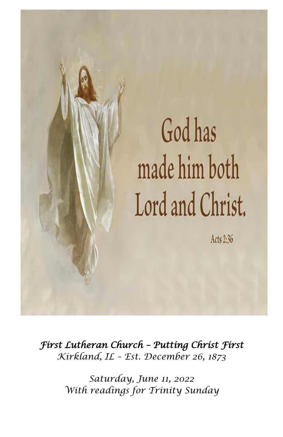

*First Lutheran Church – Putting Christ First Kirkland, IL – Est. December 26, 1873*

> *Saturday, June 11, 2022 With readings for Trinity Sunday*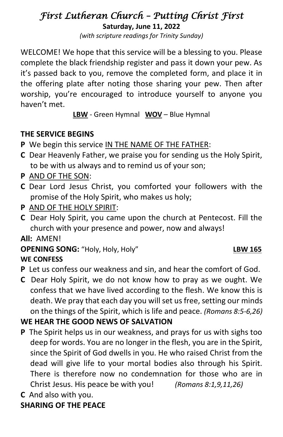# *First Lutheran Church – Putting Christ First*

**Saturday, June 11, 2022** *(with scripture readings for Trinity Sunday)*

WELCOME! We hope that this service will be a blessing to you. Please complete the black friendship register and pass it down your pew. As it's passed back to you, remove the completed form, and place it in the offering plate after noting those sharing your pew. Then after worship, you're encouraged to introduce yourself to anyone you haven't met.

**LBW** - Green Hymnal **WOV** – Blue Hymnal

# **THE SERVICE BEGINS**

- **P** We begin this service IN THE NAME OF THE FATHER:
- **C** Dear Heavenly Father, we praise you for sending us the Holy Spirit, to be with us always and to remind us of your son;
- **P** AND OF THE SON:
- **C** Dear Lord Jesus Christ, you comforted your followers with the promise of the Holy Spirit, who makes us holy;
- **P** AND OF THE HOLY SPIRIT:
- **C** Dear Holy Spirit, you came upon the church at Pentecost. Fill the church with your presence and power, now and always!

**All:** AMEN!

# **OPENING SONG:** "Holy, Holy, Holy" **LBW 165**

## **WE CONFESS**

- **P** Let us confess our weakness and sin, and hear the comfort of God.
- **C** Dear Holy Spirit, we do not know how to pray as we ought. We confess that we have lived according to the flesh. We know this is death. We pray that each day you will set us free, setting our minds on the things of the Spirit, which is life and peace. *(Romans 8:5-6,26)*

# **WE HEAR THE GOOD NEWS OF SALVATION**

- **P** The Spirit helps us in our weakness, and prays for us with sighs too deep for words. You are no longer in the flesh, you are in the Spirit, since the Spirit of God dwells in you. He who raised Christ from the dead will give life to your mortal bodies also through his Spirit. There is therefore now no condemnation for those who are in Christ Jesus. His peace be with you! *(Romans 8:1,9,11,26)*
- **C** And also with you.

# **SHARING OF THE PEACE**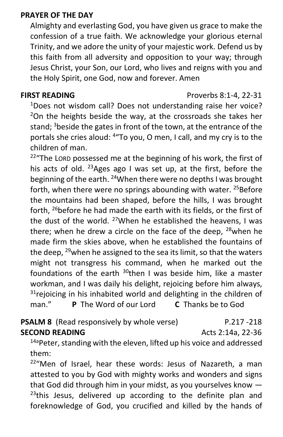#### **PRAYER OF THE DAY**

Almighty and everlasting God, you have given us grace to make the confession of a true faith. We acknowledge your glorious eternal Trinity, and we adore the unity of your majestic work. Defend us by this faith from all adversity and opposition to your way; through Jesus Christ, your Son, our Lord, who lives and reigns with you and the Holy Spirit, one God, now and forever. Amen

# **FIRST READING** Proverbs 8:1-4, 22-31

<sup>1</sup>Does not wisdom call? Does not understanding raise her voice?  $2$ On the heights beside the way, at the crossroads she takes her stand;  $3$  beside the gates in front of the town, at the entrance of the portals she cries aloud: <sup>4</sup> To you, O men, I call, and my cry is to the children of man.

 $22^{\circ}$ The LORD possessed me at the beginning of his work, the first of his acts of old. <sup>23</sup>Ages ago I was set up, at the first, before the beginning of the earth. <sup>24</sup>When there were no depths I was brought forth, when there were no springs abounding with water.  $25$ Before the mountains had been shaped, before the hills, I was brought forth, <sup>26</sup>before he had made the earth with its fields, or the first of the dust of the world.  $27$ When he established the heavens, I was there; when he drew a circle on the face of the deep,  $28$  when he made firm the skies above, when he established the fountains of the deep,  $29$  when he assigned to the sea its limit, so that the waters might not transgress his command, when he marked out the foundations of the earth  $30$ then I was beside him, like a master workman, and I was daily his delight, rejoicing before him always,  $31$  rejoicing in his inhabited world and delighting in the children of man." **P** The Word of our Lord **C** Thanks be to God

# **PSALM 8** (Read responsively by whole verse) P.217 -218 **SECOND READING** Acts 2:14a, 22-36

14a Peter, standing with the eleven, lifted up his voice and addressed them:

<sup>22</sup>"Men of Israel, hear these words: Jesus of Nazareth, a man attested to you by God with mighty works and wonders and signs that God did through him in your midst, as you yourselves know —  $23$ this Jesus, delivered up according to the definite plan and foreknowledge of God, you crucified and killed by the hands of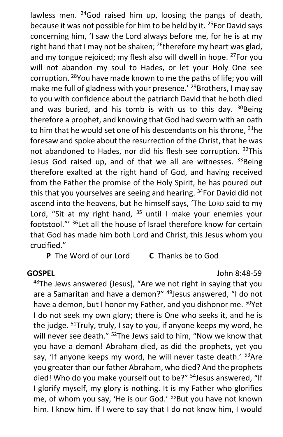lawless men.  $24$  God raised him up, loosing the pangs of death, because it was not possible for him to be held by it. <sup>25</sup>For David says concerning him, 'I saw the Lord always before me, for he is at my right hand that I may not be shaken;  $^{26}$ therefore my heart was glad, and my tongue rejoiced; my flesh also will dwell in hope. <sup>27</sup>For you will not abandon my soul to Hades, or let your Holy One see corruption. <sup>28</sup>You have made known to me the paths of life; you will make me full of gladness with your presence.' <sup>29</sup>Brothers, I may say to you with confidence about the patriarch David that he both died and was buried, and his tomb is with us to this day.  $30$ Being therefore a prophet, and knowing that God had sworn with an oath to him that he would set one of his descendants on his throne,  $31$ he foresaw and spoke about the resurrection of the Christ, that he was not abandoned to Hades, nor did his flesh see corruption. <sup>32</sup>This Jesus God raised up, and of that we all are witnesses.  $33$ Being therefore exalted at the right hand of God, and having received from the Father the promise of the Holy Spirit, he has poured out this that you yourselves are seeing and hearing. <sup>34</sup>For David did not ascend into the heavens, but he himself says, 'The LORD said to my Lord, "Sit at my right hand,  $35$  until I make your enemies your footstool."' <sup>36</sup>Let all the house of Israel therefore know for certain that God has made him both Lord and Christ, this Jesus whom you crucified."

**P** The Word of our Lord **C** Thanks be to God

#### **GOSPEL** John 8:48-59

 $48$ The Jews answered {Jesus}, "Are we not right in saying that you are a Samaritan and have a demon?" <sup>49</sup> Jesus answered, "I do not have a demon, but I honor my Father, and you dishonor me. <sup>50</sup>Yet I do not seek my own glory; there is One who seeks it, and he is the judge. <sup>51</sup>Truly, truly, I say to you, if anyone keeps my word, he will never see death." <sup>52</sup>The Jews said to him, "Now we know that you have a demon! Abraham died, as did the prophets, yet you say, 'If anyone keeps my word, he will never taste death.' <sup>53</sup>Are you greater than our father Abraham, who died? And the prophets died! Who do you make yourself out to be?" <sup>54</sup>Jesus answered, "If I glorify myself, my glory is nothing. It is my Father who glorifies me, of whom you say, 'He is our God.' <sup>55</sup>But you have not known him. I know him. If I were to say that I do not know him, I would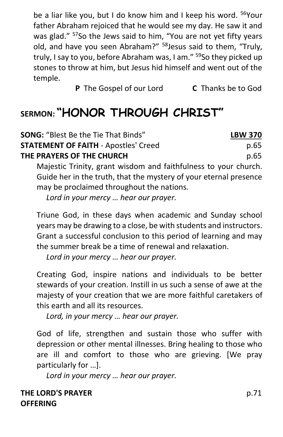be a liar like you, but I do know him and I keep his word. <sup>56</sup>Your father Abraham rejoiced that he would see my day. He saw it and was glad." <sup>57</sup>So the Jews said to him, "You are not yet fifty years old, and have you seen Abraham?" <sup>58</sup>Jesus said to them, "Truly, truly, I say to you, before Abraham was, I am." <sup>59</sup>So they picked up stones to throw at him, but Jesus hid himself and went out of the temple.

**P** The Gospel of our Lord **C** Thanks be to God

# **SERMON: "HONOR THROUGH CHRIST"**

| <b>SONG: "Blest Be the Tie That Binds"</b>                      | <b>LBW 370</b> |
|-----------------------------------------------------------------|----------------|
| <b>STATEMENT OF FAITH - Apostles' Creed</b>                     | p.65           |
| THE PRAYERS OF THE CHURCH                                       | p.65           |
| Majestic Trinity, grant wisdom and faithfulness to your church. |                |

Guide her in the truth, that the mystery of your eternal presence may be proclaimed throughout the nations*.* 

*Lord in your mercy … hear our prayer.*

Triune God, in these days when academic and Sunday school years may be drawing to a close, be with students and instructors. Grant a successful conclusion to this period of learning and may the summer break be a time of renewal and relaxation.

*Lord in your mercy … hear our prayer.*

Creating God, inspire nations and individuals to be better stewards of your creation. Instill in us such a sense of awe at the majesty of your creation that we are more faithful caretakers of this earth and all its resources.

*Lord, in your mercy … hear our prayer.*

God of life, strengthen and sustain those who suffer with depression or other mental illnesses. Bring healing to those who are ill and comfort to those who are grieving. [We pray particularly for …].

*Lord in your mercy … hear our prayer.*

**THE LORD'S PRAYER** p.71 **OFFERING**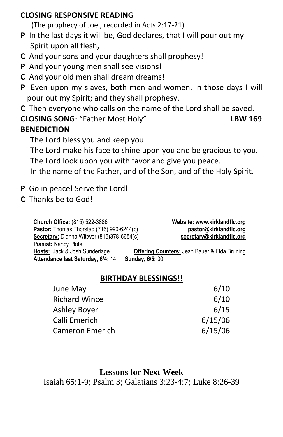#### **CLOSING RESPONSIVE READING**

(The prophecy of Joel, recorded in Acts 2:17-21)

- **P** In the last days it will be, God declares, that I will pour out my Spirit upon all flesh,
- **C** And your sons and your daughters shall prophesy!
- **P** And your young men shall see visions!
- **C** And your old men shall dream dreams!
- **P** Even upon my slaves, both men and women, in those days I will pour out my Spirit; and they shall prophesy.
- **C** Then everyone who calls on the name of the Lord shall be saved.

## **CLOSING SONG**: "Father Most Holy" **LBW 169 BENEDICTION**

The Lord bless you and keep you.

The Lord make his face to shine upon you and be gracious to you. The Lord look upon you with favor and give you peace.

In the name of the Father, and of the Son, and of the Holy Spirit.

- **P** Go in peace! Serve the Lord!
- **C** Thanks be to God!

| <b>Church Office: (815) 522-3886</b>       |                        | Website: www.kirklandflc.org                            |
|--------------------------------------------|------------------------|---------------------------------------------------------|
| Pastor: Thomas Thorstad (716) 990-6244(c)  |                        | pastor@kirklandflc.org                                  |
| Secretary: Dianna Wittwer (815)378-6654(c) |                        | secretary@kirklandflc.org                               |
| <b>Pianist: Nancy Plote</b>                |                        |                                                         |
| Hosts: Jack & Josh Sunderlage              |                        | <b>Offering Counters: Jean Bauer &amp; Elda Bruning</b> |
| Attendance last Saturday, 6/4: 14          | <b>Sunday, 6/5; 30</b> |                                                         |

## **BIRTHDAY BLESSINGS!!**

| June May             | 6/10    |
|----------------------|---------|
| <b>Richard Wince</b> | 6/10    |
| Ashley Boyer         | 6/15    |
| Calli Emerich        | 6/15/06 |
| Cameron Emerich      | 6/15/06 |

## **Lessons for Next Week**

Isaiah 65:1-9; Psalm 3; Galatians 3:23-4:7; Luke 8:26-39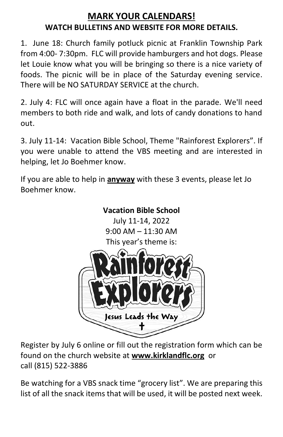# **MARK YOUR CALENDARS! WATCH BULLETINS AND WEBSITE FOR MORE DETAILS.**

1. June 18: Church family potluck picnic at Franklin Township Park from 4:00- 7:30pm. FLC will provide hamburgers and hot dogs. Please let Louie know what you will be bringing so there is a nice variety of foods. The picnic will be in place of the Saturday evening service. There will be NO SATURDAY SERVICE at the church.

2. July 4: FLC will once again have a float in the parade. We'll need members to both ride and walk, and lots of candy donations to hand out.

3. July 11-14: Vacation Bible School, Theme "Rainforest Explorers". If you were unable to attend the VBS meeting and are interested in helping, let Jo Boehmer know.

If you are able to help in **anyway** with these 3 events, please let Jo Boehmer know.



Register by July 6 online or fill out the registration form which can be found on the church website at **[www.kirklandflc.org](http://www.kirklandflc.org/)** or call (815) 522-3886

Be watching for a VBS snack time "grocery list". We are preparing this list of all the snack items that will be used, it will be posted next week.